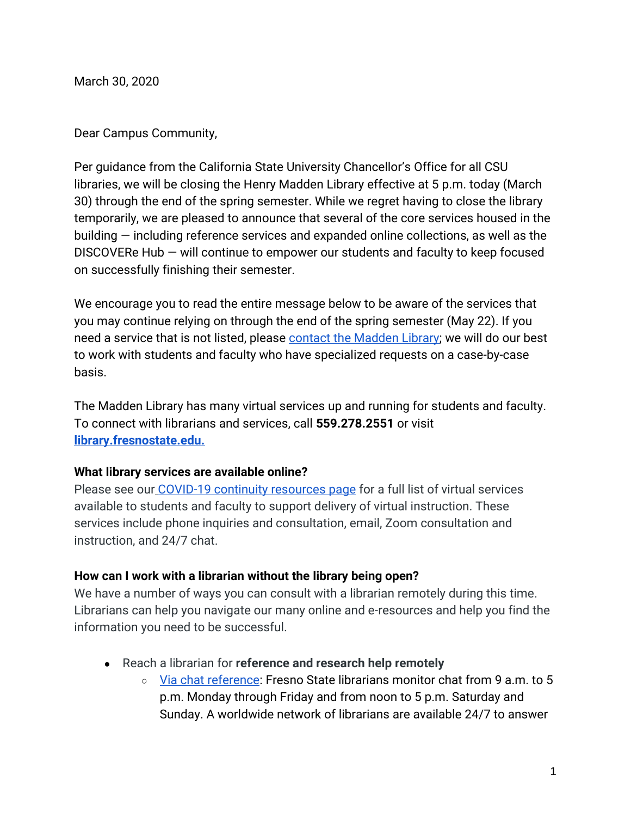March 30, 2020

Dear Campus Community,

Per guidance from the California State University Chancellor's Office for all CSU libraries, we will be closing the Henry Madden Library effective at 5 p.m. today (March 30) through the end of the spring semester. While we regret having to close the library temporarily, we are pleased to announce that several of the core services housed in the building — including reference services and expanded online collections, as well as the DISCOVERe Hub — will continue to empower our students and faculty to keep focused on successfully finishing their semester.

We encourage you to read the entire message below to be aware of the services that you may continue relying on through the end of the spring semester (May 22). If you need a service that is not listed, please [contact the Madden Library;](https://library.fresnostate.edu/) we will do our best to work with students and faculty who have specialized requests on a case-by-case basis.

The Madden Library has many virtual services up and running for students and faculty. To connect with librarians and services, call **559.278.2551** or visi[t](https://library.fresnostate.edu/) **[library.fresnostate.edu.](https://library.fresnostate.edu/)**

#### **What library services are available online?**

Please see our [COVID-19 continuity resources page](https://library.fresnostate.edu/COVID-19) for a full list of virtual services available to students and faculty to support delivery of virtual instruction. These services include phone inquiries and consultation, email, Zoom consultation and instruction, and 24/7 chat.

#### **How can I work with a librarian without the library being open?**

We have a number of ways you can consult with a librarian remotely during this time. Librarians can help you navigate our many online and e-resources and help you find the information you need to be successful.

- Reach a librarian for **reference and research help remotely** 
	- [Via chat reference:](https://library.fresnostate.edu/info/ask-a-librarian) Fresno State librarians monitor chat from 9 a.m. to 5 p.m. Monday through Friday and from noon to 5 p.m. Saturday and Sunday. A worldwide network of librarians are available 24/7 to answer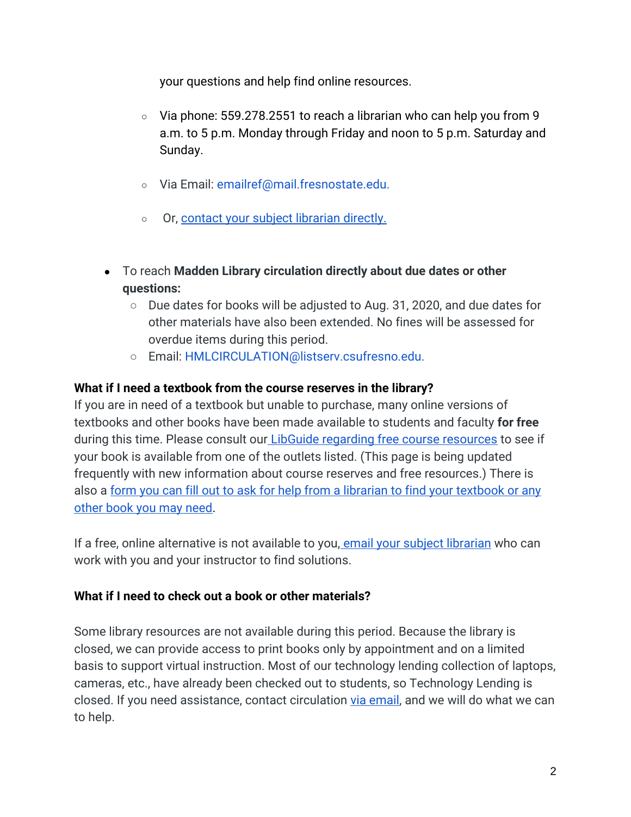your questions and help find online resources.

- Via phone: 559.278.2551 to reach a librarian who can help you from 9 a.m. to 5 p.m. Monday through Friday and noon to 5 p.m. Saturday and Sunday.
- Via Email: emailref@mail.fresnostate.edu.
- O[r,](https://library.fresnostate.edu/about/people/subject-librarians) contact your subject librarian directly.
- To reach **Madden Library circulation directly about due dates or other questions:**
	- $\circ$  Due dates for books will be adjusted to Aug. 31, 2020, and due dates for other materials have also been extended. No fines will be assessed for overdue items during this period.
	- Email: HMLCIRCULATION@listserv.csufresno.edu.

### **What if I need a textbook from the course reserves in the library?**

If you are in need of a textbook but unable to purchase, many online versions of textbooks and other books have been made available to students and faculty **for free** during this time. Please consult our [LibGuide regarding free course resources](https://guides.library.fresnostate.edu/covid-19/library) to see if your book is available from one of the outlets listed. (This page is being updated frequently with new information about course reserves and free resources.) There is also a form you can fill out to ask for help from a librarian to find your textbook or any [other book you may need.](https://docs.google.com/forms/d/e/1FAIpQLSemglj4iOcp2rO72pUH4bPg30ftxofbzXGTbFJq38I8l_O4MA/viewform)

If a free, online alternative is not available to you, [email your subject librarian](https://library.fresnostate.edu/about/people/subject-librarians) who can work with you and your instructor to find solutions.

## **What if I need to check out a book or other materials?**

Some library resources are not available during this period. Because the library is closed, we can provide access to print books only by appointment and on a limited basis to support virtual instruction. Most of our technology lending collection of laptops, cameras, etc., have already been checked out to students, so Technology Lending is closed. If you need assistance, contact circulation [via email,](mailto:HMLCIRCULATION@listserv.csufresno.edu) and we will do what we can to help.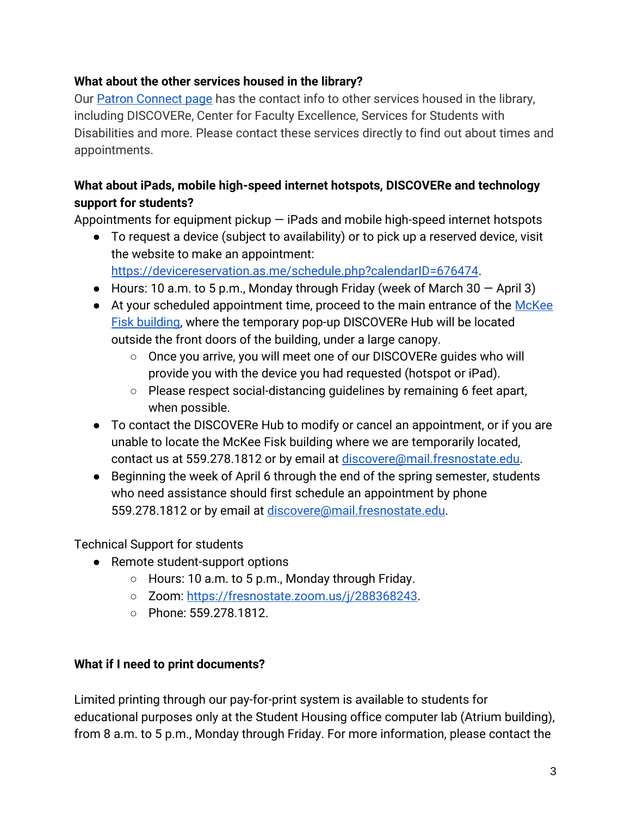## **What about the other services housed in the library?**

Our [Patron Connect page](https://library.fresnostate.edu/service/patron-connect) has the contact info to other services housed in the library, including DISCOVERe, Center for Faculty Excellence, Services for Students with Disabilities and more. Please contact these services directly to find out about times and appointments.

# **What about iPads, mobile high-speed internet hotspots, DISCOVERe and technology support for students?**

Appointments for equipment pickup  $-$  iPads and mobile high-speed internet hotspots

● To request a device (subject to availability) or to pick up a reserved device, visit the website to make an appointment:

[https://devicereservation.as.me/schedule.php?calendarID=676474.](https://devicereservation.as.me/schedule.php?calendarID=676474)

- Hours: 10 a.m. to 5 p.m., Monday through Friday (week of March 30  $-$  April 3)
- At your scheduled appointment time, proceed to the main entrance of the McKee [Fisk](https://www.fresnostate.edu/map/) [building,](https://www.fresnostate.edu/map/) where the temporary pop-up DISCOVERe Hub will be located outside the front doors of the building, under a large canopy.
	- Once you arrive, you will meet one of our DISCOVERe guides who will provide you with the device you had requested (hotspot or iPad).
	- Please respect social-distancing guidelines by remaining 6 feet apart, when possible.
- To contact the DISCOVERe Hub to modify or cancel an appointment, or if you are unable to locate the McKee Fisk building where we are temporarily located, contact us at 559.278.1812 or by email at [discovere@mail.fresnostate.edu.](mailto:discovere@mail.fresnostate.edu)
- Beginning the week of April 6 through the end of the spring semester, students who need assistance should first schedule an appointment by phone 559.278.1812 or by email at [discovere@mail.fresnostate.edu.](mailto:discovere@mail.fresnostate.edu)

Technical Support for students

- Remote student-support options
	- $\circ$  Hours: 10 a.m. to 5 p.m., Monday through Friday.
	- Zoom: [https://fresnostate.zoom.us/j/288368243.](https://fresnostate.zoom.us/j/288368243)
	- Phone: 559.278.1812.

# **What if I need to print documents?**

Limited printing through our pay-for-print system is available to students for educational purposes only at the Student Housing office computer lab (Atrium building), from 8 a.m. to 5 p.m., Monday through Friday. For more information, please contact the